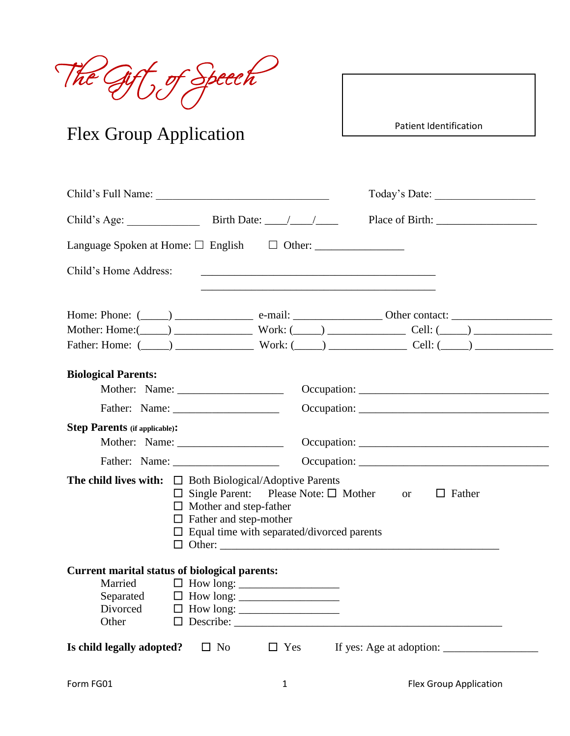The Gift of Speech

# Flex Group Application

Patient Identification

|                                                      | Child's Full Name:                                                                                                                                                                                                                                               | Today's Date: |
|------------------------------------------------------|------------------------------------------------------------------------------------------------------------------------------------------------------------------------------------------------------------------------------------------------------------------|---------------|
|                                                      |                                                                                                                                                                                                                                                                  |               |
|                                                      |                                                                                                                                                                                                                                                                  |               |
| Child's Home Address:                                | <u> 1980 - Andrea Barbara, poeta esperanto-poeta esperanto-poeta esperanto-poeta esperanto-poeta esperanto-poeta</u>                                                                                                                                             |               |
|                                                      |                                                                                                                                                                                                                                                                  |               |
|                                                      | Mother: Home: $(\_\_)$ Work: $(\_\_)$ Work: $(\_\_)$ Cell: $(\_\_)$<br>Father: Home: $(\_\_\_\_)$ Work: $(\_\_\_\_)$ Work: $(\_\_\_)$ Cell: $(\_\_)$                                                                                                             |               |
|                                                      |                                                                                                                                                                                                                                                                  |               |
| <b>Biological Parents:</b>                           |                                                                                                                                                                                                                                                                  |               |
|                                                      |                                                                                                                                                                                                                                                                  |               |
|                                                      |                                                                                                                                                                                                                                                                  |               |
| <b>Step Parents (if applicable):</b>                 |                                                                                                                                                                                                                                                                  |               |
|                                                      |                                                                                                                                                                                                                                                                  |               |
|                                                      |                                                                                                                                                                                                                                                                  |               |
|                                                      | <b>The child lives with:</b> $\Box$ Both Biological/Adoptive Parents<br>$\Box$ Single Parent: Please Note: $\Box$ Mother or $\Box$ Father<br>$\Box$ Mother and step-father<br>$\Box$ Father and step-mother<br>$\Box$ Equal time with separated/divorced parents |               |
| <b>Current marital status of biological parents:</b> |                                                                                                                                                                                                                                                                  |               |
| Married<br>Divorced<br>Other                         | Separated $\Box$ How long: $\Box$<br>$\Box$ How long: _________________<br>$\Box$ Describe:                                                                                                                                                                      |               |
| Is child legally adopted? $\square$ No               |                                                                                                                                                                                                                                                                  |               |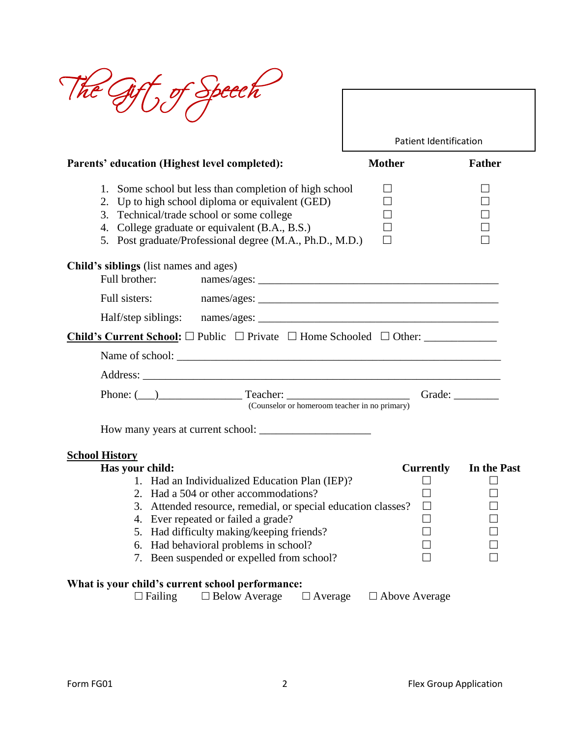| - Speech                                                                                                                                                                                                                                                                                                                                                                                 |                               |               |
|------------------------------------------------------------------------------------------------------------------------------------------------------------------------------------------------------------------------------------------------------------------------------------------------------------------------------------------------------------------------------------------|-------------------------------|---------------|
|                                                                                                                                                                                                                                                                                                                                                                                          | <b>Patient Identification</b> |               |
| Parents' education (Highest level completed):                                                                                                                                                                                                                                                                                                                                            | <b>Mother</b>                 | <b>Father</b> |
| 1. Some school but less than completion of high school<br>2. Up to high school diploma or equivalent (GED)<br>3. Technical/trade school or some college<br>4. College graduate or equivalent (B.A., B.S.)<br>5. Post graduate/Professional degree (M.A., Ph.D., M.D.)                                                                                                                    |                               |               |
| <b>Child's siblings</b> (list names and ages)<br>Full brother:                                                                                                                                                                                                                                                                                                                           |                               |               |
|                                                                                                                                                                                                                                                                                                                                                                                          |                               |               |
|                                                                                                                                                                                                                                                                                                                                                                                          |                               |               |
|                                                                                                                                                                                                                                                                                                                                                                                          |                               |               |
|                                                                                                                                                                                                                                                                                                                                                                                          |                               |               |
|                                                                                                                                                                                                                                                                                                                                                                                          |                               |               |
| Phone: ( <u>000)</u> Teacher: <u>Constantine and Constantine and Constantine and Constantine and Constantine and Constantine and Constantine and Constantine and Constantine and Constantine and Constantine and Constantine and Const</u><br>(Counselor or homeroom teacher in no primary)                                                                                              |                               |               |
|                                                                                                                                                                                                                                                                                                                                                                                          |                               |               |
| <b>School History</b><br>Has your child:<br>Had an Individualized Education Plan (IEP)?<br>Had a 504 or other accommodations?<br>2.<br>Attended resource, remedial, or special education classes?<br>3.<br>Ever repeated or failed a grade?<br>4.<br>5. Had difficulty making/keeping friends?<br>Had behavioral problems in school?<br>6.<br>7. Been suspended or expelled from school? | <b>Currently</b>              | In the Past   |
| What is your child's current school performance:<br>$\Box$ Failing<br>$\Box$ Below Average<br>$\Box$ Average                                                                                                                                                                                                                                                                             | $\Box$ Above Average          |               |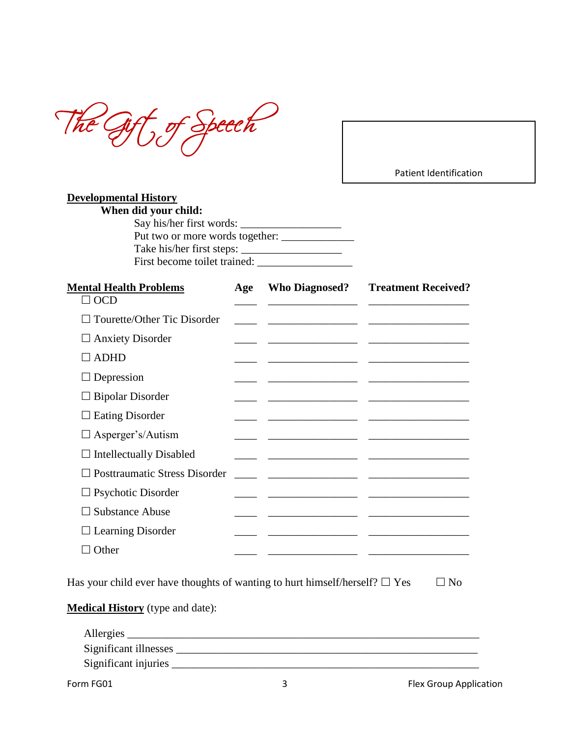The Gift of Speech

Patient Identification

| <b>Developmental History</b>    |  |
|---------------------------------|--|
| When did your child:            |  |
| Say his/her first words:        |  |
| Put two or more words together: |  |
| Take his/her first steps:       |  |
| First become toilet trained:    |  |
|                                 |  |

| <b>Mental Health Problems</b>          | Age | <b>Who Diagnosed?</b>                                    | <b>Treatment Received?</b>                                                                                               |
|----------------------------------------|-----|----------------------------------------------------------|--------------------------------------------------------------------------------------------------------------------------|
| $\Box$ OCD                             |     |                                                          |                                                                                                                          |
| Tourette/Other Tic Disorder<br>$\perp$ |     |                                                          | <u> 1980 - Andrea Andrew Maria (h. 1980).</u><br>1900 - Andrew Maria (h. 1980).                                          |
| $\Box$ Anxiety Disorder                |     |                                                          | <u> 2000 - Andrea Andrew Maria (b. 2001)</u>                                                                             |
| <b>ADHD</b><br>- 1                     |     |                                                          |                                                                                                                          |
| $\Box$ Depression                      |     |                                                          | <u> Alexandro Alexandro (Alexandro Alexandro Alexandro Alexandro Alexandro Alexandro Alexandro Alexandro Alexandro A</u> |
| $\Box$ Bipolar Disorder                |     |                                                          |                                                                                                                          |
| <b>Eating Disorder</b><br>ப            |     |                                                          |                                                                                                                          |
| $\Box$ Asperger's/Autism               |     |                                                          | <u> 1980 - Jan Samuel Barbara, margaret eta biztanleria (h. 1980).</u>                                                   |
| $\Box$ Intellectually Disabled         |     | <u> 1989 - Johann Stein, mars an deus an deus Angels</u> |                                                                                                                          |
| $\Box$ Posttraumatic Stress Disorder   |     |                                                          |                                                                                                                          |
| $\Box$ Psychotic Disorder              |     |                                                          | <u> 1980 - Jan Samuel Barbara, político establecer a la contrada de la contrada de la contrada de la contrada de</u>     |
| <b>Substance Abuse</b>                 |     | <u> 1989 - Andrea State Andrew Maria (</u>               |                                                                                                                          |
| $\Box$ Learning Disorder               |     |                                                          | <u> 1980 - Jan Samuel Barbara, margaret eta idazlearen 19a - Antonio II.a eta idazlearen 19a - Antonio II.a eta i</u>    |
| $\Box$ Other                           |     |                                                          |                                                                                                                          |

Has your child ever have thoughts of wanting to hurt himself/herself?  $\Box$  Yes  $\Box$  No

**Medical History** (type and date):

| Allergies             |  |  |
|-----------------------|--|--|
| Significant illnesses |  |  |
| Significant injuries  |  |  |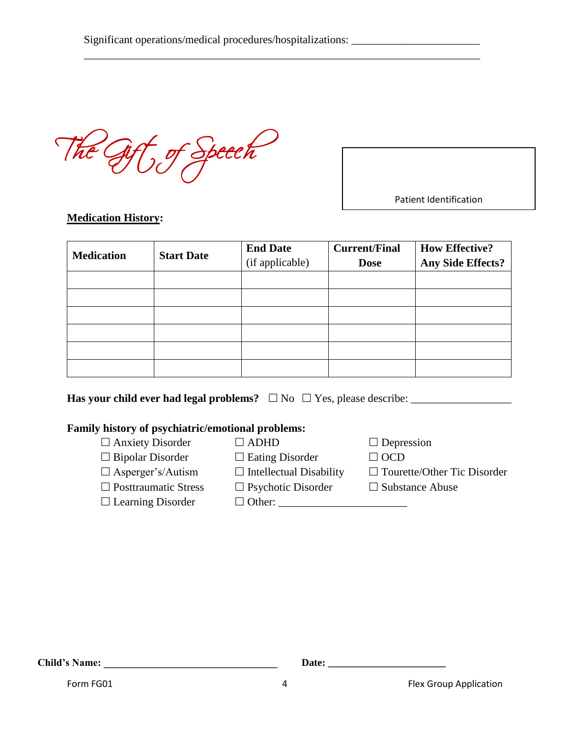\_\_\_\_\_\_\_\_\_\_\_\_\_\_\_\_\_\_\_\_\_\_\_\_\_\_\_\_\_\_\_\_\_\_\_\_\_\_\_\_\_\_\_\_\_\_\_\_\_\_\_\_\_\_\_\_\_\_\_\_\_\_\_\_\_\_\_\_\_\_\_

The Gift of Speech

Patient Identification

## **Medication History:**

| <b>Medication</b> | <b>Start Date</b> | <b>End Date</b><br>(if applicable) | <b>Current/Final</b><br><b>Dose</b> | <b>How Effective?</b><br><b>Any Side Effects?</b> |
|-------------------|-------------------|------------------------------------|-------------------------------------|---------------------------------------------------|
|                   |                   |                                    |                                     |                                                   |
|                   |                   |                                    |                                     |                                                   |
|                   |                   |                                    |                                     |                                                   |
|                   |                   |                                    |                                     |                                                   |
|                   |                   |                                    |                                     |                                                   |
|                   |                   |                                    |                                     |                                                   |

**Has your child ever had legal problems?** No Yes, please describe: \_\_\_\_\_\_\_\_\_\_\_\_\_\_\_\_\_\_

### **Family history of psychiatric/emotional problems:**

- $\Box$  Anxiety Disorder  $\Box$  ADHD  $\Box$  Depression
- $\Box$  Bipolar Disorder  $\Box$  Eating Disorder  $\Box$  OCD
	-
- 
- $\square$  Learning Disorder  $\square$  Other:
- 
- 
- 
- $\Box$  Asperger's/Autism  $\Box$  Intellectual Disability  $\Box$  Tourette/Other Tic Disorder
- $\Box$  Posttraumatic Stress  $\Box$  Psychotic Disorder  $\Box$  Substance Abuse

**Child's Name: Date:** <u>**Date: Child's Name: Date: Child's Name: Child's Name: Child's Name: Child's Name: Child's Name: Child's Name: Child's Name: Child's Name: Child's Name: Child's Name: Chil</u>** 

Form FG01 **1** Flex Group Application